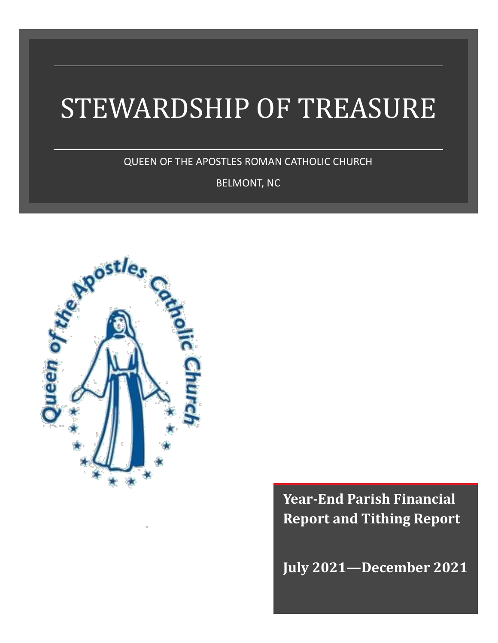# STEWARDSHIP OF TREASURE

QUEEN OF THE APOSTLES ROMAN CATHOLIC CHURCH

BELMONT, NC



**Year-End Parish Financial Report and Tithing Report**

**July 2021—December 2021**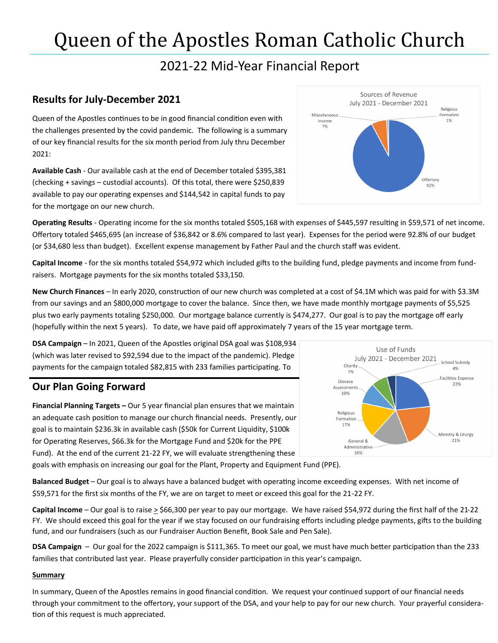# Queen of the Apostles Roman Catholic Church

### 2021-22 Mid-Year Financial Report

#### **Results for July-December 2021**

Queen of the Apostles continues to be in good financial condition even with the challenges presented by the covid pandemic. The following is a summary of our key financial results for the six month period from July thru December 2021:

**Available Cash** - Our available cash at the end of December totaled \$395,381 (checking + savings – custodial accounts). Of this total, there were \$250,839 available to pay our operating expenses and \$144,542 in capital funds to pay for the mortgage on our new church.



**Operating Results** - Operating income for the six months totaled \$505,168 with expenses of \$445,597 resulting in \$59,571 of net income. Offertory totaled \$465,695 (an increase of \$36,842 or 8.6% compared to last year). Expenses for the period were 92.8% of our budget (or \$34,680 less than budget). Excellent expense management by Father Paul and the church staff was evident.

**Capital Income** - for the six months totaled \$54,972 which included gifts to the building fund, pledge payments and income from fundraisers. Mortgage payments for the six months totaled \$33,150.

**New Church Finances** – In early 2020, construction of our new church was completed at a cost of \$4.1M which was paid for with \$3.3M from our savings and an \$800,000 mortgage to cover the balance. Since then, we have made monthly mortgage payments of \$5,525 plus two early payments totaling \$250,000. Our mortgage balance currently is \$474,277. Our goal is to pay the mortgage off early (hopefully within the next 5 years). To date, we have paid off approximately 7 years of the 15 year mortgage term.

**DSA Campaign** – In 2021, Queen of the Apostles original DSA goal was \$108,934 (which was later revised to \$92,594 due to the impact of the pandemic). Pledge payments for the campaign totaled \$82,815 with 233 families participating. To

#### **Our Plan Going Forward**

**Financial Planning Targets –** Our 5 year financial plan ensures that we maintain an adequate cash position to manage our church financial needs. Presently, our goal is to maintain \$236.3k in available cash (\$50k for Current Liquidity, \$100k for Operating Reserves, \$66.3k for the Mortgage Fund and \$20k for the PPE Fund). At the end of the current 21-22 FY, we will evaluate strengthening these goals with emphasis on increasing our goal for the Plant, Property and Equipment Fund (PPE).



**Balanced Budget** – Our goal is to always have a balanced budget with operating income exceeding expenses. With net income of \$59,571 for the first six months of the FY, we are on target to meet or exceed this goal for the 21-22 FY.

**Capital Income** – Our goal is to raise > \$66,300 per year to pay our mortgage. We have raised \$54,972 during the first half of the 21-22 FY. We should exceed this goal for the year if we stay focused on our fundraising efforts including pledge payments, gifts to the building fund, and our fundraisers (such as our Fundraiser Auction Benefit, Book Sale and Pen Sale).

**DSA Campaign** – Our goal for the 2022 campaign is \$111,365. To meet our goal, we must have much better participation than the 233 families that contributed last year. Please prayerfully consider participation in this year's campaign.

#### **Summary**

In summary, Queen of the Apostles remains in good financial condition. We request your continued support of our financial needs through your commitment to the offertory, your support of the DSA, and your help to pay for our new church. Your prayerful consideration of this request is much appreciated.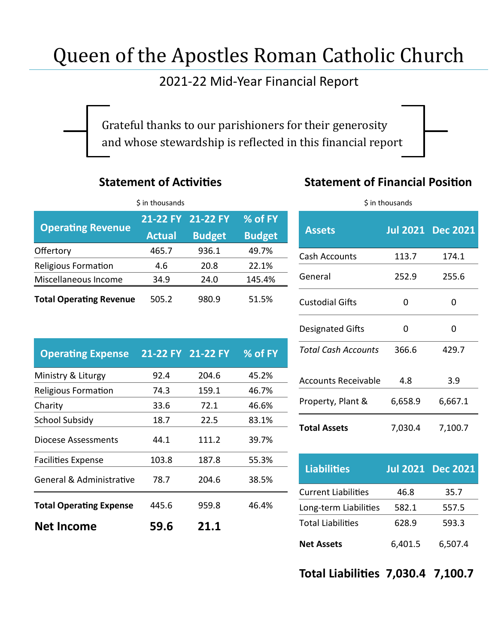# Queen of the Apostles Roman Catholic Church

### 2021-22 Mid-Year Financial Report

Grateful thanks to our parishioners for their generosity and whose stewardship is reflected in this financial report

#### **Statement of Activities**

### **Statement of Financial Position**

| \$ in thousands                |               |                   |               |  |
|--------------------------------|---------------|-------------------|---------------|--|
| <b>Operating Revenue</b>       |               | 21-22 FY 21-22 FY | % of FY       |  |
|                                | <b>Actual</b> | <b>Budget</b>     | <b>Budget</b> |  |
| Offertory                      | 465.7         | 936.1             | 49.7%         |  |
| <b>Religious Formation</b>     | 4.6           | 20.8              | 22.1%         |  |
| Miscellaneous Income           | 34.9          | 24.0              | 145.4%        |  |
| <b>Total Operating Revenue</b> | 505.2         | 980.9             | 51.5%         |  |

| <b>Operating Expense</b>       |       | 21-22 FY 21-22 FY | % of FY |
|--------------------------------|-------|-------------------|---------|
| Ministry & Liturgy             | 92.4  | 204.6             | 45.2%   |
| <b>Religious Formation</b>     | 74.3  | 159.1             | 46.7%   |
| Charity                        | 33.6  | 72.1              | 46.6%   |
| <b>School Subsidy</b>          | 18.7  | 22.5              | 83.1%   |
| <b>Diocese Assessments</b>     | 44.1  | 111.2             | 39.7%   |
| <b>Facilities Expense</b>      | 103.8 | 187.8             | 55.3%   |
| General & Administrative       | 78.7  | 204.6             | 38.5%   |
| <b>Total Operating Expense</b> | 445.6 | 959.8             | 46.4%   |
| <b>Net Income</b>              | 59.6  | 21.1              |         |

| \$ in thousands            |         |                          |  |  |
|----------------------------|---------|--------------------------|--|--|
| <b>Assets</b>              |         | <b>Jul 2021 Dec 2021</b> |  |  |
| Cash Accounts              | 113.7   | 174.1                    |  |  |
| General                    | 252.9   | 255.6                    |  |  |
| <b>Custodial Gifts</b>     | O       | ŋ                        |  |  |
| <b>Designated Gifts</b>    | ი       | O                        |  |  |
| <b>Total Cash Accounts</b> | 366.6   | 429.7                    |  |  |
| Accounts Receivable        | 4.8     | 3.9                      |  |  |
| Property, Plant &          | 6,658.9 | 6,667.1                  |  |  |
| <b>Total Assets</b>        | 7,030.4 | 7,100.7                  |  |  |

| <b>Liabilities</b>         |         | <b>Jul 2021 Dec 2021</b> |
|----------------------------|---------|--------------------------|
| <b>Current Liabilities</b> | 46.8    | 35.7                     |
| Long-term Liabilities      | 582.1   | 557.5                    |
| <b>Total Liabilities</b>   | 628.9   | 593.3                    |
| <b>Net Assets</b>          | 6,401.5 | 6,507.4                  |

**Total Liabilities 7,030.4 7,100.7**